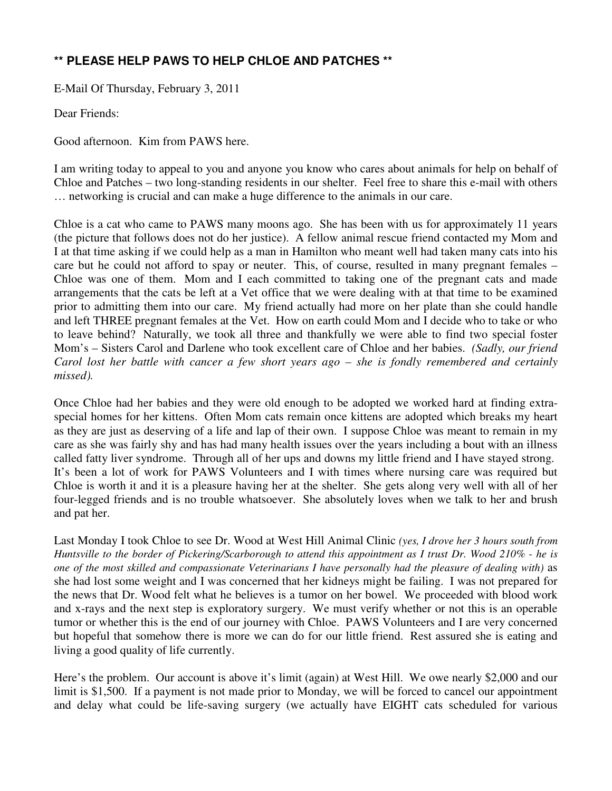## **\*\* PLEASE HELP PAWS TO HELP CHLOE AND PATCHES \*\***

E-Mail Of Thursday, February 3, 2011

Dear Friends:

Good afternoon. Kim from PAWS here.

I am writing today to appeal to you and anyone you know who cares about animals for help on behalf of Chloe and Patches – two long-standing residents in our shelter. Feel free to share this e-mail with others … networking is crucial and can make a huge difference to the animals in our care.

Chloe is a cat who came to PAWS many moons ago. She has been with us for approximately 11 years (the picture that follows does not do her justice). A fellow animal rescue friend contacted my Mom and I at that time asking if we could help as a man in Hamilton who meant well had taken many cats into his care but he could not afford to spay or neuter. This, of course, resulted in many pregnant females – Chloe was one of them. Mom and I each committed to taking one of the pregnant cats and made arrangements that the cats be left at a Vet office that we were dealing with at that time to be examined prior to admitting them into our care. My friend actually had more on her plate than she could handle and left THREE pregnant females at the Vet. How on earth could Mom and I decide who to take or who to leave behind? Naturally, we took all three and thankfully we were able to find two special foster Mom's – Sisters Carol and Darlene who took excellent care of Chloe and her babies. *(Sadly, our friend Carol lost her battle with cancer a few short years ago – she is fondly remembered and certainly missed).*

Once Chloe had her babies and they were old enough to be adopted we worked hard at finding extraspecial homes for her kittens. Often Mom cats remain once kittens are adopted which breaks my heart as they are just as deserving of a life and lap of their own. I suppose Chloe was meant to remain in my care as she was fairly shy and has had many health issues over the years including a bout with an illness called fatty liver syndrome. Through all of her ups and downs my little friend and I have stayed strong. It's been a lot of work for PAWS Volunteers and I with times where nursing care was required but Chloe is worth it and it is a pleasure having her at the shelter. She gets along very well with all of her four-legged friends and is no trouble whatsoever. She absolutely loves when we talk to her and brush and pat her.

Last Monday I took Chloe to see Dr. Wood at West Hill Animal Clinic *(yes, I drove her 3 hours south from Huntsville to the border of Pickering/Scarborough to attend this appointment as I trust Dr. Wood 210% - he is one of the most skilled and compassionate Veterinarians I have personally had the pleasure of dealing with)* as she had lost some weight and I was concerned that her kidneys might be failing. I was not prepared for the news that Dr. Wood felt what he believes is a tumor on her bowel. We proceeded with blood work and x-rays and the next step is exploratory surgery. We must verify whether or not this is an operable tumor or whether this is the end of our journey with Chloe. PAWS Volunteers and I are very concerned but hopeful that somehow there is more we can do for our little friend. Rest assured she is eating and living a good quality of life currently.

Here's the problem. Our account is above it's limit (again) at West Hill. We owe nearly \$2,000 and our limit is \$1,500. If a payment is not made prior to Monday, we will be forced to cancel our appointment and delay what could be life-saving surgery (we actually have EIGHT cats scheduled for various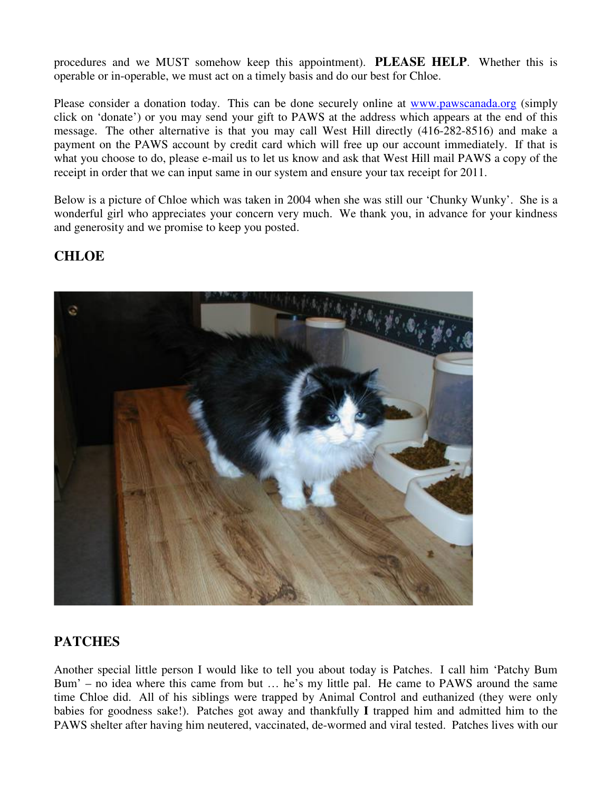procedures and we MUST somehow keep this appointment). **PLEASE HELP**. Whether this is operable or in-operable, we must act on a timely basis and do our best for Chloe.

Please consider a donation today. This can be done securely online at www.pawscanada.org (simply click on 'donate') or you may send your gift to PAWS at the address which appears at the end of this message. The other alternative is that you may call West Hill directly (416-282-8516) and make a payment on the PAWS account by credit card which will free up our account immediately. If that is what you choose to do, please e-mail us to let us know and ask that West Hill mail PAWS a copy of the receipt in order that we can input same in our system and ensure your tax receipt for 2011.

Below is a picture of Chloe which was taken in 2004 when she was still our 'Chunky Wunky'. She is a wonderful girl who appreciates your concern very much. We thank you, in advance for your kindness and generosity and we promise to keep you posted.

## **CHLOE**



## **PATCHES**

Another special little person I would like to tell you about today is Patches. I call him 'Patchy Bum Bum' – no idea where this came from but … he's my little pal. He came to PAWS around the same time Chloe did. All of his siblings were trapped by Animal Control and euthanized (they were only babies for goodness sake!). Patches got away and thankfully **I** trapped him and admitted him to the PAWS shelter after having him neutered, vaccinated, de-wormed and viral tested. Patches lives with our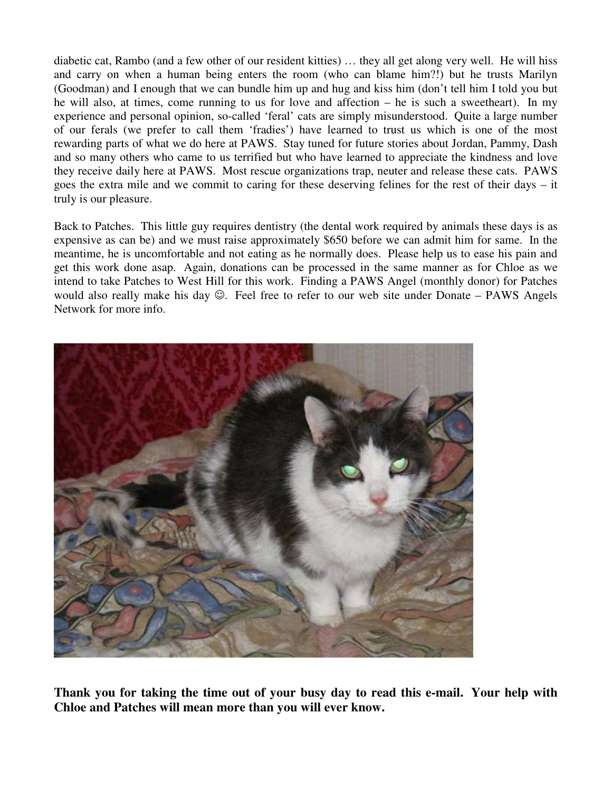diabetic cat, Rambo (and a few other of our resident kitties) … they all get along very well. He will hiss and carry on when a human being enters the room (who can blame him?!) but he trusts Marilyn (Goodman) and I enough that we can bundle him up and hug and kiss him (don't tell him I told you but he will also, at times, come running to us for love and affection – he is such a sweetheart). In my experience and personal opinion, so-called 'feral' cats are simply misunderstood. Quite a large number of our ferals (we prefer to call them 'fradies') have learned to trust us which is one of the most rewarding parts of what we do here at PAWS. Stay tuned for future stories about Jordan, Pammy, Dash and so many others who came to us terrified but who have learned to appreciate the kindness and love they receive daily here at PAWS. Most rescue organizations trap, neuter and release these cats. PAWS goes the extra mile and we commit to caring for these deserving felines for the rest of their days – it truly is our pleasure.

Back to Patches. This little guy requires dentistry (the dental work required by animals these days is as expensive as can be) and we must raise approximately \$650 before we can admit him for same. In the meantime, he is uncomfortable and not eating as he normally does. Please help us to ease his pain and get this work done asap. Again, donations can be processed in the same manner as for Chloe as we intend to take Patches to West Hill for this work. Finding a PAWS Angel (monthly donor) for Patches would also really make his day  $\odot$ . Feel free to refer to our web site under Donate – PAWS Angels Network for more info.



**Thank you for taking the time out of your busy day to read this e-mail. Your help with Chloe and Patches will mean more than you will ever know.**